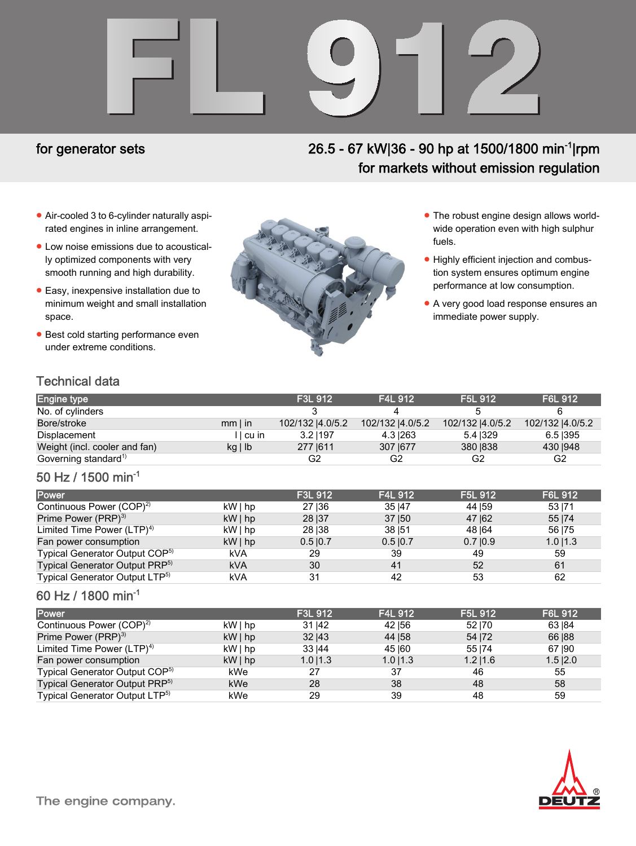# FL 912

## for generator sets

# 26.5 - 67 kW|36 - 90 hp at 1500/1800 min<sup>-1</sup>|rpm for markets without emission regulation

- Air-cooled 3 to 6-cylinder naturally aspirated engines in inline arrangement.
- Low noise emissions due to acoustically optimized components with very smooth running and high durability.
- Easy, inexpensive installation due to minimum weight and small installation space.
- **Best cold starting performance even** under extreme conditions.



- The robust engine design allows worldwide operation even with high sulphur fuels.
- Highly efficient injection and combustion system ensures optimum engine performance at low consumption.
- A very good load response ensures an immediate power supply.

# Technical data

| <b>Engine type</b>               |              | <b>F3L 912</b>  | <b>F4L 912</b>   | F5L 912         | F6L 912          |
|----------------------------------|--------------|-----------------|------------------|-----------------|------------------|
| No. of cylinders                 |              |                 |                  |                 |                  |
| Bore/stroke                      | $mm$ I in    | 102/132 4.0/5.2 | 102/132  4.0/5.2 | 102/132 4.0/5.2 | 102/132  4.0/5.2 |
| Displacement                     | I I cu in    | 3.21197         | 4.3 263          | 5.4 329         | 6.5 395          |
| Weight (incl. cooler and fan)    | $kg \mid lb$ | 277 1611        | 307   677        | 380 1838        | 430   948        |
| Governing standard <sup>1)</sup> |              | G2              | G2               | G2              | G2               |

### 50 Hz / 1500 min-1

| <b>Power</b>                               |            | F3L 912 | <b>F4L 912</b> | F5L 912    | F6L 912     |
|--------------------------------------------|------------|---------|----------------|------------|-------------|
| Continuous Power (COP) <sup>2)</sup>       | kW   hp    | 27   36 | 35   47        | 44 159     | 53   71     |
| Prime Power (PRP) <sup>3)</sup>            | $kW $ hp   | 28   37 | 37   50        | 47   62    | 55   74     |
| Limited Time Power $(LTP)^{4}$             | kW   hp    | 28   38 | 38   51        | 48 164     | 56   75     |
| Fan power consumption                      | $kW $ hp   | 0.510.7 | $0.5 \, 10.7$  | $0.7$  0.9 | $1.0$   1.3 |
| Typical Generator Output COP <sup>5)</sup> | kVA        | 29      | 39             | 49         | 59          |
| Typical Generator Output PRP <sup>5)</sup> | <b>kVA</b> | 30      | 41             | 52         | 61          |
| Typical Generator Output LTP <sup>5)</sup> | kVA        | 31      | 42             | 53         | 62          |

### 60 Hz / 1800 min-1

| Power                                      |          | F3L 912       | F4L 912 | F5L 912       | <b>F6L 912</b> |
|--------------------------------------------|----------|---------------|---------|---------------|----------------|
| Continuous Power (COP) <sup>2)</sup>       | kW   hp  | 31 142        | 42   56 | 52170         | 63   84        |
| Prime Power (PRP) <sup>3)</sup>            | $kW $ hp | 32 143        | 44   58 | 54   72       | 66   88        |
| Limited Time Power $(LTP)^{4}$             | $kW $ hp | 33   44       | 45   60 | 55 174        | 67 190         |
| Fan power consumption                      | $kW $ hp | $1.0$   $1.3$ | 1.011.3 | $1.2$   $1.6$ | $1.5$  2.0     |
| Typical Generator Output COP <sup>5)</sup> | kWe      | 27            | 37      | 46            | 55             |
| Typical Generator Output PRP <sup>5)</sup> | kWe      | 28            | 38      | 48            | 58             |
| Typical Generator Output LTP <sup>5)</sup> | kWe      | 29            | 39      | 48            | 59             |